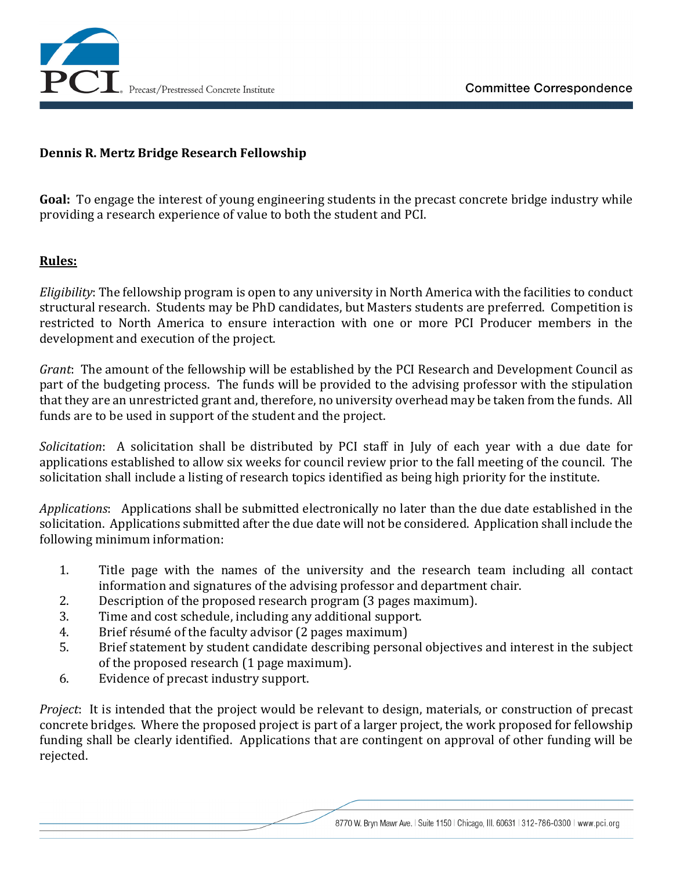

## **Dennis R. Mertz Bridge Research Fellowship**

**Goal:** To engage the interest of young engineering students in the precast concrete bridge industry while providing a research experience of value to both the student and PCI.

## **Rules:**

*Eligibility*: The fellowship program is open to any university in North America with the facilities to conduct structural research. Students may be PhD candidates, but Masters students are preferred. Competition is restricted to North America to ensure interaction with one or more PCI Producer members in the development and execution of the project.

*Grant*: The amount of the fellowship will be established by the PCI Research and Development Council as part of the budgeting process. The funds will be provided to the advising professor with the stipulation that they are an unrestricted grant and, therefore, no university overhead may be taken from the funds. All funds are to be used in support of the student and the project.

*Solicitation*: A solicitation shall be distributed by PCI staff in July of each year with a due date for applications established to allow six weeks for council review prior to the fall meeting of the council. The solicitation shall include a listing of research topics identified as being high priority for the institute.

*Applications*: Applications shall be submitted electronically no later than the due date established in the solicitation. Applications submitted after the due date will not be considered. Application shall include the following minimum information:

- 1. Title page with the names of the university and the research team including all contact information and signatures of the advising professor and department chair.
- 2. Description of the proposed research program (3 pages maximum).
- 3. Time and cost schedule, including any additional support.
- 4. Brief résumé of the faculty advisor (2 pages maximum)
- 5. Brief statement by student candidate describing personal objectives and interest in the subject of the proposed research (1 page maximum).
- 6. Evidence of precast industry support.

*Project*: It is intended that the project would be relevant to design, materials, or construction of precast concrete bridges. Where the proposed project is part of a larger project, the work proposed for fellowship funding shall be clearly identified. Applications that are contingent on approval of other funding will be rejected.